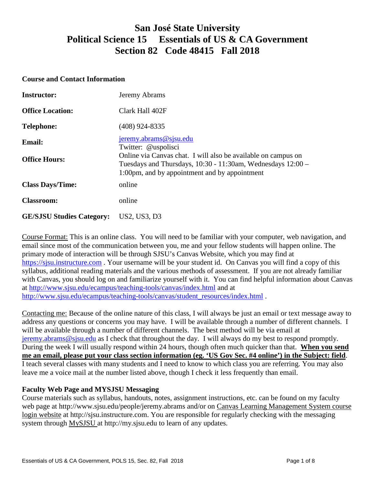# **San José State University Political Science 15 Essentials of US & CA Government Section 82 Code 48415 Fall 2018**

#### **Course and Contact Information**

| <b>Instructor:</b>               | Jeremy Abrams                                                                                                                                                                 |  |
|----------------------------------|-------------------------------------------------------------------------------------------------------------------------------------------------------------------------------|--|
| <b>Office Location:</b>          | Clark Hall 402F                                                                                                                                                               |  |
| <b>Telephone:</b>                | $(408)$ 924-8335                                                                                                                                                              |  |
| <b>Email:</b>                    | jeremy.abrams@sjsu.edu<br>Twitter: @uspolisci                                                                                                                                 |  |
| <b>Office Hours:</b>             | Online via Canvas chat. I will also be available on campus on<br>Tuesdays and Thursdays, 10:30 - 11:30am, Wednesdays 12:00 -<br>1:00pm, and by appointment and by appointment |  |
| <b>Class Days/Time:</b>          | online                                                                                                                                                                        |  |
| <b>Classroom:</b>                | online                                                                                                                                                                        |  |
| <b>GE/SJSU Studies Category:</b> | US2, US3, D3                                                                                                                                                                  |  |

Course Format: This is an online class. You will need to be familiar with your computer, web navigation, and email since most of the communication between you, me and your fellow students will happen online. The primary mode of interaction will be through SJSU's Canvas Website, which you may find at [https://sjsu.instructure.com](https://sjsu.instructure.com/) . Your username will be your student id. On Canvas you will find a copy of this syllabus, additional reading materials and the various methods of assessment. If you are not already familiar with Canvas, you should log on and familiarize yourself with it. You can find helpful information about Canvas at<http://www.sjsu.edu/ecampus/teaching-tools/canvas/index.html> and at [http://www.sjsu.edu/ecampus/teaching-tools/canvas/student\\_resources/index.html](http://www.sjsu.edu/ecampus/teaching-tools/canvas/student_resources/index.html) .

Contacting me: Because of the online nature of this class, I will always be just an email or text message away to address any questions or concerns you may have. I will be available through a number of different channels. I will be available through a number of different channels. The best method will be via email at [jeremy.abrams@sjsu.edu](mailto:jeremy.abrams@sjsu.edu) as I check that throughout the day. I will always do my best to respond promptly. During the week I will usually respond within 24 hours, though often much quicker than that. **When you send me an email, please put your class section information (eg. 'US Gov Sec. #4 online') in the Subject: field**. I teach several classes with many students and I need to know to which class you are referring. You may also leave me a voice mail at the number listed above, though I check it less frequently than email.

### **Faculty Web Page and MYSJSU Messaging**

Course materials such as syllabus, handouts, notes, assignment instructions, etc. can be found on my faculty web page at http://www.sjsu.edu/people/jeremy.abrams and/or on Canvas Learning Management System course login website at http://sjsu.instructure.com. You are responsible for regularly checking with the messaging system through [MySJSU a](http://my.sjsu.edu/)t http://my.sjsu.edu to learn of any updates.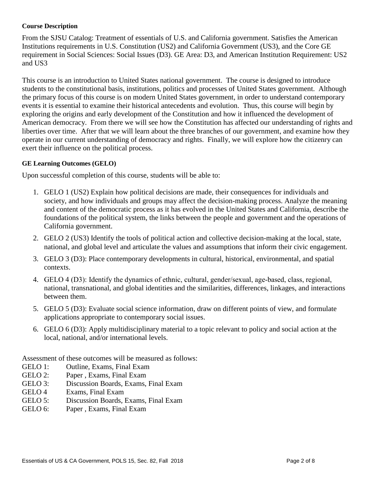#### **Course Description**

From the SJSU Catalog: Treatment of essentials of U.S. and California government. Satisfies the American Institutions requirements in U.S. Constitution (US2) and California Government (US3), and the Core GE requirement in Social Sciences: Social Issues (D3). GE Area: D3, and American Institution Requirement: US2 and US3

This course is an introduction to United States national government. The course is designed to introduce students to the constitutional basis, institutions, politics and processes of United States government. Although the primary focus of this course is on modern United States government, in order to understand contemporary events it is essential to examine their historical antecedents and evolution. Thus, this course will begin by exploring the origins and early development of the Constitution and how it influenced the development of American democracy. From there we will see how the Constitution has affected our understanding of rights and liberties over time. After that we will learn about the three branches of our government, and examine how they operate in our current understanding of democracy and rights. Finally, we will explore how the citizenry can exert their influence on the political process.

#### **GE Learning Outcomes (GELO)**

Upon successful completion of this course, students will be able to:

- 1. GELO 1 (US2) Explain how political decisions are made, their consequences for individuals and society, and how individuals and groups may affect the decision-making process. Analyze the meaning and content of the democratic process as it has evolved in the United States and California, describe the foundations of the political system, the links between the people and government and the operations of California government.
- 2. GELO 2 (US3) Identify the tools of political action and collective decision-making at the local, state, national, and global level and articulate the values and assumptions that inform their civic engagement.
- 3. GELO 3 (D3): Place contemporary developments in cultural, historical, environmental, and spatial contexts.
- 4. GELO 4 (D3): Identify the dynamics of ethnic, cultural, gender/sexual, age-based, class, regional, national, transnational, and global identities and the similarities, differences, linkages, and interactions between them.
- 5. GELO 5 (D3): Evaluate social science information, draw on different points of view, and formulate applications appropriate to contemporary social issues.
- 6. GELO 6 (D3): Apply multidisciplinary material to a topic relevant to policy and social action at the local, national, and/or international levels.

Assessment of these outcomes will be measured as follows:

- GELO 1: Outline, Exams, Final Exam
- GELO 2: Paper , Exams, Final Exam
- GELO 3: Discussion Boards, Exams, Final Exam
- GELO 4 Exams, Final Exam
- GELO 5: Discussion Boards, Exams, Final Exam
- GELO 6: Paper , Exams, Final Exam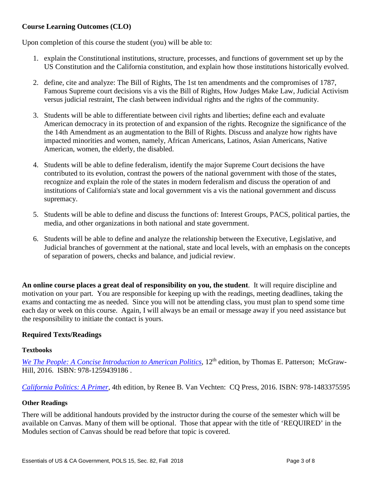# **Course Learning Outcomes (CLO)**

Upon completion of this course the student (you) will be able to:

- 1. explain the Constitutional institutions, structure, processes, and functions of government set up by the US Constitution and the California constitution, and explain how those institutions historically evolved.
- 2. define, cite and analyze: The Bill of Rights, The 1st ten amendments and the compromises of 1787, Famous Supreme court decisions vis a vis the Bill of Rights, How Judges Make Law, Judicial Activism versus judicial restraint, The clash between individual rights and the rights of the community.
- 3. Students will be able to differentiate between civil rights and liberties; define each and evaluate American democracy in its protection of and expansion of the rights. Recognize the significance of the the 14th Amendment as an augmentation to the Bill of Rights. Discuss and analyze how rights have impacted minorities and women, namely, African Americans, Latinos, Asian Americans, Native American, women, the elderly, the disabled.
- 4. Students will be able to define federalism, identify the major Supreme Court decisions the have contributed to its evolution, contrast the powers of the national government with those of the states, recognize and explain the role of the states in modern federalism and discuss the operation of and institutions of California's state and local government vis a vis the national government and discuss supremacy.
- 5. Students will be able to define and discuss the functions of: Interest Groups, PACS, political parties, the media, and other organizations in both national and state government.
- 6. Students will be able to define and analyze the relationship between the Executive, Legislative, and Judicial branches of government at the national, state and local levels, with an emphasis on the concepts of separation of powers, checks and balance, and judicial review.

**An online course places a great deal of responsibility on you, the student**. It will require discipline and motivation on your part. You are responsible for keeping up with the readings, meeting deadlines, taking the exams and contacting me as needed. Since you will not be attending class, you must plan to spend some time each day or week on this course. Again, I will always be an email or message away if you need assistance but the responsibility to initiate the contact is yours.

# **Required Texts/Readings**

#### **Textbooks**

*[We The People: A Concise Introduction to American Politics](https://www.amazon.com/We-People-Introduction-American-Government/dp/1259439186)*, 12<sup>th</sup> edition, by Thomas E. Patterson; McGraw-Hill, 2016. ISBN: 978-1259439186 .

*[California Politics: A Primer,](https://www.amazon.com/California-Politics-Renee-Van-Vechten/dp/1483375595)* 4th edition, by Renee B. Van Vechten: CQ Press, 2016. ISBN: 978-1483375595

#### **Other Readings**

There will be additional handouts provided by the instructor during the course of the semester which will be available on Canvas. Many of them will be optional. Those that appear with the title of 'REQUIRED' in the Modules section of Canvas should be read before that topic is covered.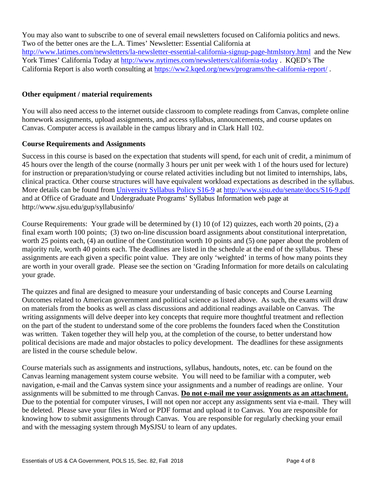You may also want to subscribe to one of several email newsletters focused on California politics and news. Two of the better ones are the L.A. Times' Newsletter: Essential California at <http://www.latimes.com/newsletters/la-newsletter-essential-california-signup-page-htmlstory.html>and the New York Times' California Today at<http://www.nytimes.com/newsletters/california-today> . KQED's The California Report is also worth consulting at<https://ww2.kqed.org/news/programs/the-california-report/> .

## **Other equipment / material requirements**

You will also need access to the internet outside classroom to complete readings from Canvas, complete online homework assignments, upload assignments, and access syllabus, announcements, and course updates on Canvas. Computer access is available in the campus library and in Clark Hall 102.

## **Course Requirements and Assignments**

Success in this course is based on the expectation that students will spend, for each unit of credit, a minimum of 45 hours over the length of the course (normally 3 hours per unit per week with 1 of the hours used for lecture) for instruction or preparation/studying or course related activities including but not limited to internships, labs, clinical practica. Other course structures will have equivalent workload expectations as described in the syllabus. More details can be found from [University Syllabus Policy S16-9](http://www.sjsu.edu/senate/docs/S16-9.pdf) at<http://www.sjsu.edu/senate/docs/S16-9.pdf> and at Office of Graduate and Undergraduate Programs' Syllabus Information web page at http://www.sjsu.edu/gup/syllabusinfo/

Course Requirements: Your grade will be determined by (1) 10 (of 12) quizzes, each worth 20 points, (2) a final exam worth 100 points; (3) two on-line discussion board assignments about constitutional interpretation, worth 25 points each, (4) an outline of the Constitution worth 10 points and (5) one paper about the problem of majority rule, worth 40 points each. The deadlines are listed in the schedule at the end of the syllabus. These assignments are each given a specific point value. They are only 'weighted' in terms of how many points they are worth in your overall grade. Please see the section on 'Grading Information for more details on calculating your grade.

The quizzes and final are designed to measure your understanding of basic concepts and Course Learning Outcomes related to American government and political science as listed above. As such, the exams will draw on materials from the books as well as class discussions and additional readings available on Canvas. The writing assignments will delve deeper into key concepts that require more thoughtful treatment and reflection on the part of the student to understand some of the core problems the founders faced when the Constitution was written. Taken together they will help you, at the completion of the course, to better understand how political decisions are made and major obstacles to policy development. The deadlines for these assignments are listed in the course schedule below.

Course materials such as assignments and instructions, syllabus, handouts, notes, etc. can be found on the Canvas learning management system course website. You will need to be familiar with a computer, web navigation, e-mail and the Canvas system since your assignments and a number of readings are online. Your assignments will be submitted to me through Canvas. **Do not e-mail me your assignments as an attachment.** Due to the potential for computer viruses, I will not open nor accept any assignments sent via e-mail. They will be deleted. Please save your files in Word or PDF format and upload it to Canvas. You are responsible for knowing how to submit assignments through Canvas. You are responsible for regularly checking your email and with the messaging system through MySJSU to learn of any updates.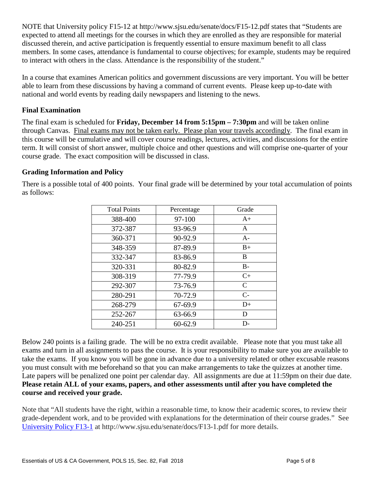NOTE that University policy F15-12 at http://www.sjsu.edu/senate/docs/F15-12.pdf states that "Students are expected to attend all meetings for the courses in which they are enrolled as they are responsible for material discussed therein, and active participation is frequently essential to ensure maximum benefit to all class members. In some cases, attendance is fundamental to course objectives; for example, students may be required to interact with others in the class. Attendance is the responsibility of the student."

In a course that examines American politics and government discussions are very important. You will be better able to learn from these discussions by having a command of current events. Please keep up-to-date with national and world events by reading daily newspapers and listening to the news.

# **Final Examination**

The final exam is scheduled for **Friday, December 14 from 5:15pm – 7:30pm** and will be taken online through Canvas. Final exams may not be taken early. Please plan your travels accordingly. The final exam in this course will be cumulative and will cover course readings, lectures, activities, and discussions for the entire term. It will consist of short answer, multiple choice and other questions and will comprise one-quarter of your course grade. The exact composition will be discussed in class.

# **Grading Information and Policy**

There is a possible total of 400 points. Your final grade will be determined by your total accumulation of points as follows:

| <b>Total Points</b> | Percentage | Grade        |
|---------------------|------------|--------------|
| 388-400             | 97-100     | $A+$         |
| 372-387             | 93-96.9    | A            |
| 360-371             | 90-92.9    | $A-$         |
| 348-359             | 87-89.9    | $B+$         |
| 332-347             | 83-86.9    | B            |
| 320-331             | 80-82.9    | $B -$        |
| 308-319             | 77-79.9    | $C+$         |
| 292-307             | 73-76.9    | $\mathsf{C}$ |
| 280-291             | 70-72.9    | $C-$         |
| 268-279             | 67-69.9    | $D+$         |
| 252-267             | 63-66.9    | D            |
| 240-251             | 60-62.9    | D-           |

Below 240 points is a failing grade. The will be no extra credit available. Please note that you must take all exams and turn in all assignments to pass the course. It is your responsibility to make sure you are available to take the exams. If you know you will be gone in advance due to a university related or other excusable reasons you must consult with me beforehand so that you can make arrangements to take the quizzes at another time. Late papers will be penalized one point per calendar day. All assignments are due at 11:59pm on their due date. **Please retain ALL of your exams, papers, and other assessments until after you have completed the course and received your grade.**

Note that "All students have the right, within a reasonable time, to know their academic scores, to review their grade-dependent work, and to be provided with explanations for the determination of their course grades." See [University Policy F13-1](http://www.sjsu.edu/senate/docs/F13-1.pdf) at http://www.sjsu.edu/senate/docs/F13-1.pdf for more details.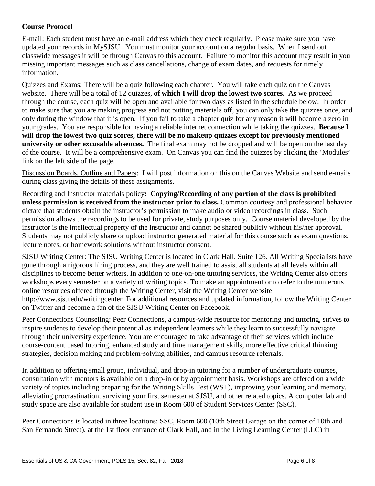# **Course Protocol**

E-mail: Each student must have an e-mail address which they check regularly. Please make sure you have updated your records in MySJSU. You must monitor your account on a regular basis. When I send out classwide messages it will be through Canvas to this account. Failure to monitor this account may result in you missing important messages such as class cancellations, change of exam dates, and requests for timely information.

Quizzes and Exams: There will be a quiz following each chapter. You will take each quiz on the Canvas website. There will be a total of 12 quizzes, **of which I will drop the lowest two scores.** As we proceed through the course, each quiz will be open and available for two days as listed in the schedule below. In order to make sure that you are making progress and not putting materials off, you can only take the quizzes once, and only during the window that it is open. If you fail to take a chapter quiz for any reason it will become a zero in your grades. You are responsible for having a reliable internet connection while taking the quizzes. **Because I will drop the lowest two quiz scores, there will be no makeup quizzes except for previously mentioned university or other excusable absences.** The final exam may not be dropped and will be open on the last day of the course. It will be a comprehensive exam. On Canvas you can find the quizzes by clicking the 'Modules' link on the left side of the page.

Discussion Boards, Outline and Papers: I will post information on this on the Canvas Website and send e-mails during class giving the details of these assignments.

Recording and Instructor materials policy**: Copying/Recording of any portion of the class is prohibited unless permission is received from the instructor prior to class.** Common courtesy and professional behavior dictate that students obtain the instructor's permission to make audio or video recordings in class. Such permission allows the recordings to be used for private, study purposes only. Course material developed by the instructor is the intellectual property of the instructor and cannot be shared publicly without his/her approval. Students may not publicly share or upload instructor generated material for this course such as exam questions, lecture notes, or homework solutions without instructor consent.

SJSU Writing Center: The SJSU Writing Center is located in Clark Hall, Suite 126. All Writing Specialists have gone through a rigorous hiring process, and they are well trained to assist all students at all levels within all disciplines to become better writers. In addition to one-on-one tutoring services, the Writing Center also offers workshops every semester on a variety of writing topics. To make an appointment or to refer to the numerous online resources offered through the Writing Center, visit the Writing Center website: http://www.sjsu.edu/writingcenter. For additional resources and updated information, follow the Writing Center on Twitter and become a fan of the SJSU Writing Center on Facebook.

Peer Connections Counseling: Peer Connections, a campus-wide resource for mentoring and tutoring, strives to inspire students to develop their potential as independent learners while they learn to successfully navigate through their university experience. You are encouraged to take advantage of their services which include course-content based tutoring, enhanced study and time management skills, more effective critical thinking strategies, decision making and problem-solving abilities, and campus resource referrals.

In addition to offering small group, individual, and drop-in tutoring for a number of undergraduate courses, consultation with mentors is available on a drop-in or by appointment basis. Workshops are offered on a wide variety of topics including preparing for the Writing Skills Test (WST), improving your learning and memory, alleviating procrastination, surviving your first semester at SJSU, and other related topics. A computer lab and study space are also available for student use in Room 600 of Student Services Center (SSC).

Peer Connections is located in three locations: SSC, Room 600 (10th Street Garage on the corner of 10th and San Fernando Street), at the 1st floor entrance of Clark Hall, and in the Living Learning Center (LLC) in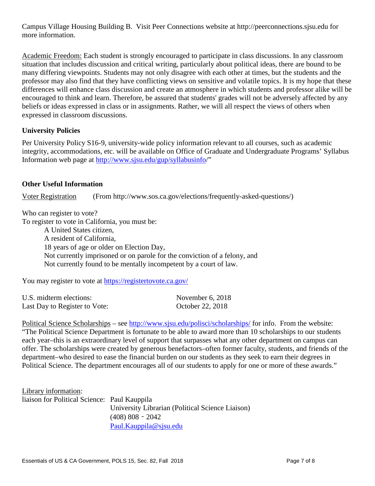Campus Village Housing Building B. Visit Peer Connections website at http://peerconnections.sjsu.edu for more information.

Academic Freedom: Each student is strongly encouraged to participate in class discussions. In any classroom situation that includes discussion and critical writing, particularly about political ideas, there are bound to be many differing viewpoints. Students may not only disagree with each other at times, but the students and the professor may also find that they have conflicting views on sensitive and volatile topics. It is my hope that these differences will enhance class discussion and create an atmosphere in which students and professor alike will be encouraged to think and learn. Therefore, be assured that students' grades will not be adversely affected by any beliefs or ideas expressed in class or in assignments. Rather, we will all respect the views of others when expressed in classroom discussions.

# **University Policies**

Per University Policy S16-9, university-wide policy information relevant to all courses, such as academic integrity, accommodations, etc. will be available on Office of Graduate and Undergraduate Programs' Syllabus Information web page at [http://www.sjsu.edu/gup/syllabusinfo/](http://www.sjsu.edu/gup/syllabusinfo)"

## **Other Useful Information**

Voter Registration (From http://www.sos.ca.gov/elections/frequently-asked-questions/)

Who can register to vote?

To register to vote in California, you must be:

A United States citizen, A resident of California, 18 years of age or older on Election Day, Not currently imprisoned or on parole for the conviction of a felony, and Not currently found to be mentally incompetent by a court of law.

You may register to vote at<https://registertovote.ca.gov/>

| U.S. midterm elections:       | November $6, 2018$ |
|-------------------------------|--------------------|
| Last Day to Register to Vote: | October 22, 2018   |

Political Science Scholarships – see<http://www.sjsu.edu/polisci/scholarships/> for info. From the website: "The Political Science Department is fortunate to be able to award more than 10 scholarships to our students each year–this is an extraordinary level of support that surpasses what any other department on campus can offer. The scholarships were created by generous benefactors–often former faculty, students, and friends of the department–who desired to ease the financial burden on our students as they seek to earn their degrees in Political Science. The department encourages all of our students to apply for one or more of these awards."

Library information: liaison for Political Science: Paul Kauppila University Librarian (Political Science Liaison) (408) 808‐2042 [Paul.Kauppila@sjsu.edu](mailto:Paul.Kauppila@sjsu.edu)